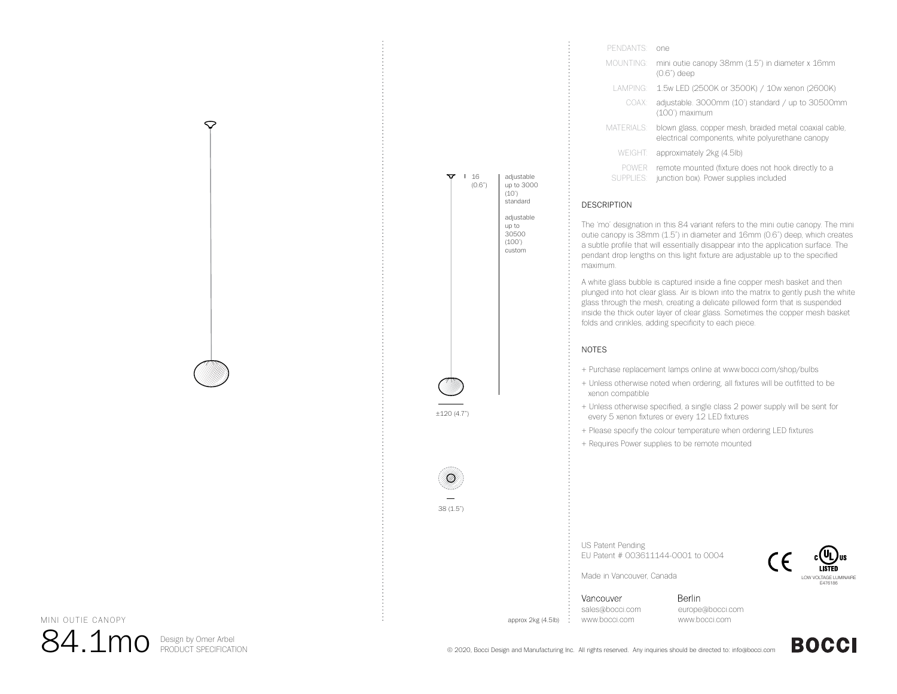| PENDANTS:                 | one.                                                                                                       |
|---------------------------|------------------------------------------------------------------------------------------------------------|
| MOUNTING:                 | mini outie canopy 38mm (1.5") in diameter x 16mm<br>$(0.6")$ deep                                          |
| LAMPING:                  | 1.5w LED (2500K or 3500K) / 10w xenon (2600K)                                                              |
| COAX:                     | adjustable. 3000mm (10') standard / up to 30500mm<br>(100') maximum                                        |
| MATERIALS <sup>.</sup>    | blown glass, copper mesh, braided metal coaxial cable,<br>electrical components, white polyurethane canopy |
| <b>WEIGHT:</b>            | approximately 2kg (4.5lb)                                                                                  |
| <b>POWER</b><br>SUPPLIES: | remote mounted (fixture does not hook directly to a<br>junction box). Power supplies included              |

#### DESCRIPTION

 $\mathbf{V}$  | 16 (0.6")

adjustable up to 3000 (10') standardadiustable up to 30500 (100') custom

±120 (4.7")

38 (1.5")

The 'mo' designation in this 84 variant refers to the mini outie canopy. The mini outie canopy is 38mm (1.5") in diameter and 16mm (0.6") deep, which creates a subtle profile that will essentially disappear into the application surface. The pendant drop lengths on this light fixture are adjustable up to the specified maximum.

A white glass bubble is captured inside a fine copper mesh basket and then plunged into hot clear glass. Air is blown into the matrix to gently push the white glass through the mesh, creating a delicate pillowed form that is suspended inside the thick outer layer of clear glass. Sometimes the copper mesh basket folds and crinkles, adding specificity to each piece.

#### NOTES

- + Purchase replacement lamps online at www.bocci.com/shop/bulbs
- + Unless otherwise noted when ordering, all fixtures will be outfitted to be xenon compatible
- + Unless otherwise specified, a single class 2 power supply will be sent for every 5 xenon fixtures or every 12 LED fixtures
- + Please specify the colour temperature when ordering LED fixtures
- + Requires Power supplies to be remote mounted

US Patent Pending EU Patent # 003611144-0001 to 0004



Made in Vancouver, Canada

Vancouver sales@bocci.com approx 2kg (4.5lb) www.bocci.com

Berlin europe@bocci.com www.bocci.com

**BOCCI** 

MINI OUTIE CANOPY

 $84.1$ mo Design by Omer Arbel

⇔

© 2020, Bocci Design and Manufacturing Inc. All rights reserved. Any inquiries should be directed to: info@bocci.com